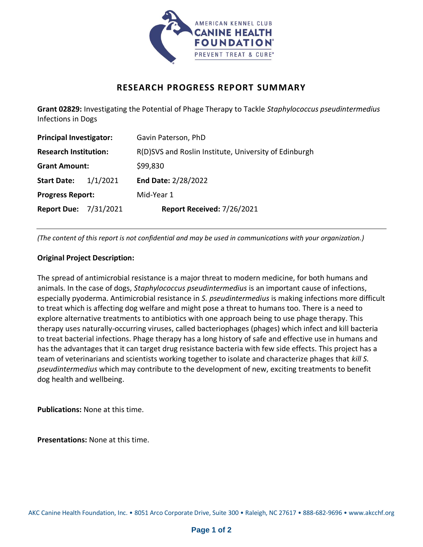

## **RESEARCH PROGRESS REPORT SUMMARY**

**Grant 02829:** Investigating the Potential of Phage Therapy to Tackle *Staphylococcus pseudintermedius* Infections in Dogs

| <b>Principal Investigator:</b> |          | Gavin Paterson, PhD                                   |
|--------------------------------|----------|-------------------------------------------------------|
| <b>Research Institution:</b>   |          | R(D)SVS and Roslin Institute, University of Edinburgh |
| <b>Grant Amount:</b>           |          | \$99,830                                              |
| <b>Start Date:</b>             | 1/1/2021 | <b>End Date: 2/28/2022</b>                            |
| <b>Progress Report:</b>        |          | Mid-Year 1                                            |
| <b>Report Due: 7/31/2021</b>   |          | Report Received: 7/26/2021                            |

*(The content of this report is not confidential and may be used in communications with your organization.)*

## **Original Project Description:**

The spread of antimicrobial resistance is a major threat to modern medicine, for both humans and animals. In the case of dogs, *Staphylococcus pseudintermedius* is an important cause of infections, especially pyoderma. Antimicrobial resistance in *S. pseudintermedius* is making infections more difficult to treat which is affecting dog welfare and might pose a threat to humans too. There is a need to explore alternative treatments to antibiotics with one approach being to use phage therapy. This therapy uses naturally-occurring viruses, called bacteriophages (phages) which infect and kill bacteria to treat bacterial infections. Phage therapy has a long history of safe and effective use in humans and has the advantages that it can target drug resistance bacteria with few side effects. This project has a team of veterinarians and scientists working together to isolate and characterize phages that *kill S. pseudintermedius* which may contribute to the development of new, exciting treatments to benefit dog health and wellbeing.

**Publications:** None at this time.

**Presentations:** None at this time.